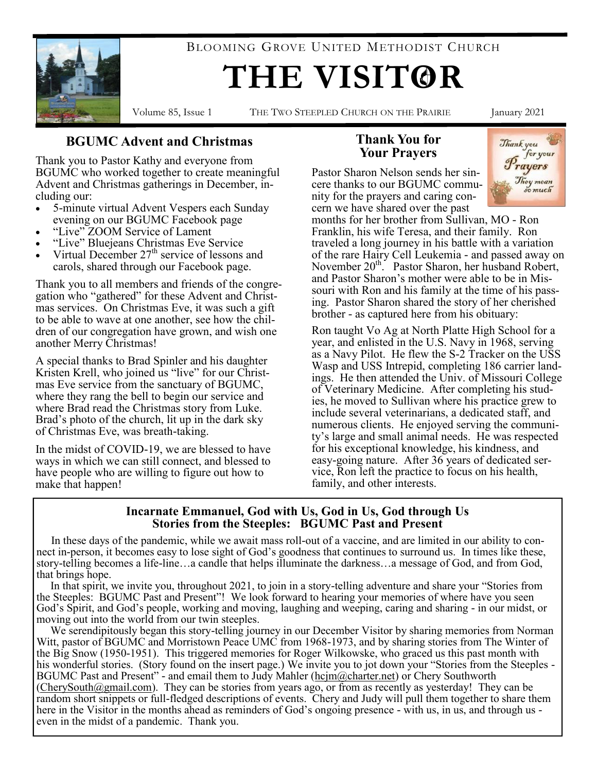

BLOOMING GROVE UNITED METHODIST CHURCH

# **THE VISITOR**

Volume 85, Issue 1 THE TWO STEEPLED CHURCH ON THE PRAIRIE January 2021

#### **BGUMC Advent and Christmas**

Thank you to Pastor Kathy and everyone from BGUMC who worked together to create meaningful Advent and Christmas gatherings in December, including our:

- 5-minute virtual Advent Vespers each Sunday evening on our BGUMC Facebook page
- "Live" ZOOM Service of Lament
- "Live" Bluejeans Christmas Eve Service
- Virtual December  $27<sup>th</sup>$  service of lessons and carols, shared through our Facebook page.

Thank you to all members and friends of the congregation who "gathered" for these Advent and Christmas services. On Christmas Eve, it was such a gift to be able to wave at one another, see how the children of our congregation have grown, and wish one another Merry Christmas!

A special thanks to Brad Spinler and his daughter Kristen Krell, who joined us "live" for our Christmas Eve service from the sanctuary of BGUMC, where they rang the bell to begin our service and where Brad read the Christmas story from Luke. Brad's photo of the church, lit up in the dark sky of Christmas Eve, was breath-taking.

In the midst of COVID-19, we are blessed to have ways in which we can still connect, and blessed to have people who are willing to figure out how to make that happen!

#### **Thank You for Your Prayers**

Pastor Sharon Nelson sends her sincere thanks to our BGUMC community for the prayers and caring concern we have shared over the past



months for her brother from Sullivan, MO - Ron Franklin, his wife Teresa, and their family. Ron traveled a long journey in his battle with a variation of the rare Hairy Cell Leukemia - and passed away on November 20<sup>th</sup>. Pastor Sharon, her husband Robert, and Pastor Sharon's mother were able to be in Missouri with Ron and his family at the time of his passing. Pastor Sharon shared the story of her cherished brother - as captured here from his obituary:

Ron taught Vo Ag at North Platte High School for a year, and enlisted in the U.S. Navy in 1968, serving as a Navy Pilot. He flew the S-2 Tracker on the USS Wasp and USS Intrepid, completing 186 carrier landings. He then attended the Univ. of Missouri College of Veterinary Medicine. After completing his studies, he moved to Sullivan where his practice grew to include several veterinarians, a dedicated staff, and numerous clients. He enjoyed serving the community's large and small animal needs. He was respected for his exceptional knowledge, his kindness, and easy-going nature. After 36 years of dedicated service, Ron left the practice to focus on his health, family, and other interests.

#### **Incarnate Emmanuel, God with Us, God in Us, God through Us Stories from the Steeples: BGUMC Past and Present**

 In these days of the pandemic, while we await mass roll-out of a vaccine, and are limited in our ability to connect in-person, it becomes easy to lose sight of God's goodness that continues to surround us. In times like these, story-telling becomes a life-line…a candle that helps illuminate the darkness…a message of God, and from God, that brings hope.

 In that spirit, we invite you, throughout 2021, to join in a story-telling adventure and share your "Stories from the Steeples: BGUMC Past and Present"! We look forward to hearing your memories of where have you seen God's Spirit, and God's people, working and moving, laughing and weeping, caring and sharing - in our midst, or moving out into the world from our twin steeples.

 We serendipitously began this story-telling journey in our December Visitor by sharing memories from Norman Witt, pastor of BGUMC and Morristown Peace UMC from 1968-1973, and by sharing stories from The Winter of the Big Snow (1950-1951). This triggered memories for Roger Wilkowske, who graced us this past month with his wonderful stories. (Story found on the insert page.) We invite you to jot down your "Stories from the Steeples -BGUMC Past and Present" - and email them to Judy Mahler ([hcjm@charter.net\)](mailto:hcjm@charter.net) or Chery Southworth  $(CherySouth@gmail.com)$ . They can be stories from years ago, or from as recently as yesterday! They can be random short snippets or full-fledged descriptions of events. Chery and Judy will pull them together to share them here in the Visitor in the months ahead as reminders of God's ongoing presence - with us, in us, and through us even in the midst of a pandemic. Thank you.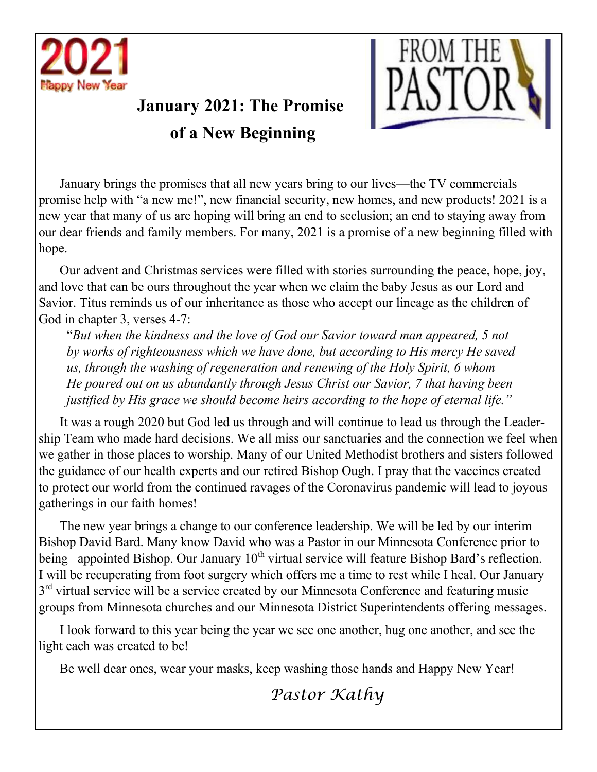

# **January 2021: The Promise of a New Beginning**



January brings the promises that all new years bring to our lives—the TV commercials promise help with "a new me!", new financial security, new homes, and new products! 2021 is a new year that many of us are hoping will bring an end to seclusion; an end to staying away from our dear friends and family members. For many, 2021 is a promise of a new beginning filled with hope.

Our advent and Christmas services were filled with stories surrounding the peace, hope, joy, and love that can be ours throughout the year when we claim the baby Jesus as our Lord and Savior. Titus reminds us of our inheritance as those who accept our lineage as the children of God in chapter 3, verses 4-7:

"*But when the kindness and the love of God our Savior toward man appeared, 5 not by works of righteousness which we have done, but according to His mercy He saved us, through the washing of regeneration and renewing of the Holy Spirit, 6 whom He poured out on us abundantly through Jesus Christ our Savior, 7 that having been justified by His grace we should become heirs according to the hope of eternal life."* 

It was a rough 2020 but God led us through and will continue to lead us through the Leadership Team who made hard decisions. We all miss our sanctuaries and the connection we feel when we gather in those places to worship. Many of our United Methodist brothers and sisters followed the guidance of our health experts and our retired Bishop Ough. I pray that the vaccines created to protect our world from the continued ravages of the Coronavirus pandemic will lead to joyous gatherings in our faith homes!

The new year brings a change to our conference leadership. We will be led by our interim Bishop David Bard. Many know David who was a Pastor in our Minnesota Conference prior to being appointed Bishop. Our January  $10^{th}$  virtual service will feature Bishop Bard's reflection. I will be recuperating from foot surgery which offers me a time to rest while I heal. Our January 3<sup>rd</sup> virtual service will be a service created by our Minnesota Conference and featuring music groups from Minnesota churches and our Minnesota District Superintendents offering messages.

I look forward to this year being the year we see one another, hug one another, and see the light each was created to be!

Be well dear ones, wear your masks, keep washing those hands and Happy New Year!

*Pastor Kathy*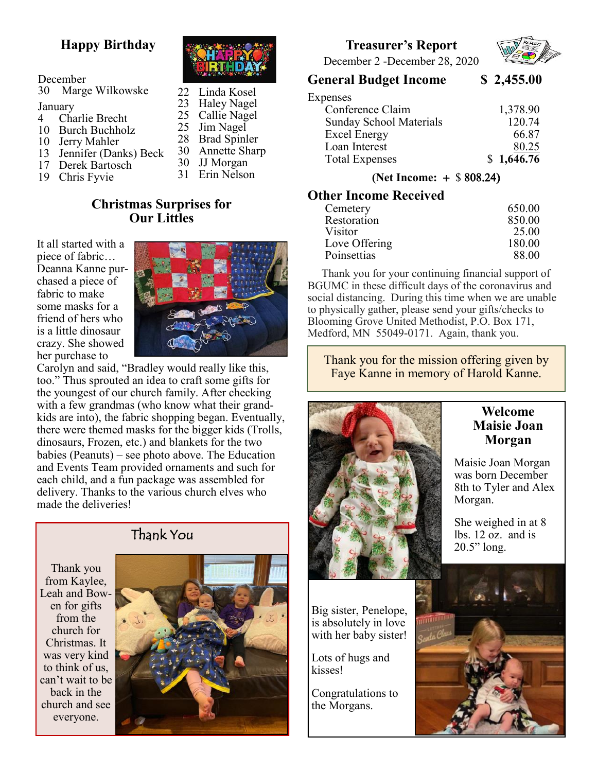### **Happy Birthday**

| December |
|----------|
|----------|

| 30                            | Marge Wilkowske |
|-------------------------------|-----------------|
| $\mathbf{r}$ and $\mathbf{r}$ |                 |

- January
- 4 Charlie Brecht
- 10 Burch Buchholz
- 10 Jerry Mahler
- 13 Jennifer (Danks) Beck
- 17 Derek Bartosch
- 19 Chris Fyvie



 Linda Kosel Haley Nagel Callie Nagel Jim Nagel Brad Spinler Annette Sharp JJ Morgan Erin Nelson

#### **Christmas Surprises for Our Littles**

It all started with a piece of fabric… Deanna Kanne purchased a piece of fabric to make some masks for a friend of hers who is a little dinosaur crazy. She showed her purchase to



Carolyn and said, "Bradley would really like this, too." Thus sprouted an idea to craft some gifts for the youngest of our church family. After checking with a few grandmas (who know what their grandkids are into), the fabric shopping began. Eventually, there were themed masks for the bigger kids (Trolls, dinosaurs, Frozen, etc.) and blankets for the two babies (Peanuts) – see photo above. The Education and Events Team provided ornaments and such for each child, and a fun package was assembled for delivery. Thanks to the various church elves who made the deliveries!







#### **Treasurer's Report**



December 2 -December 28, 2020

#### **General Budget Income \$ 2,455.00**

| Expenses                       |            |
|--------------------------------|------------|
| Conference Claim               | 1,378.90   |
| <b>Sunday School Materials</b> | 120.74     |
| <b>Excel Energy</b>            | 66.87      |
| Loan Interest                  | 80.25      |
| <b>Total Expenses</b>          | \$1,646.76 |
|                                |            |

**(Net Income: + \$ 808.24)** 

#### **Other Income Received**

| Cemetery       | 650.00 |
|----------------|--------|
| Restoration    | 850.00 |
| <b>Visitor</b> | 25.00  |
| Love Offering  | 180.00 |
| Poinsettias    | 88.00  |

 Thank you for your continuing financial support of BGUMC in these difficult days of the coronavirus and social distancing. During this time when we are unable to physically gather, please send your gifts/checks to Blooming Grove United Methodist, P.O. Box 171, Medford, MN 55049-0171. Again, thank you.

Thank you for the mission offering given by Faye Kanne in memory of Harold Kanne.



#### **Welcome Maisie Joan Morgan**

Maisie Joan Morgan was born December 8th to Tyler and Alex Morgan.

She weighed in at 8 lbs. 12 oz. and is 20.5" long.

Big sister, Penelope, is absolutely in love with her baby sister!

Lots of hugs and kisses!

Congratulations to the Morgans.

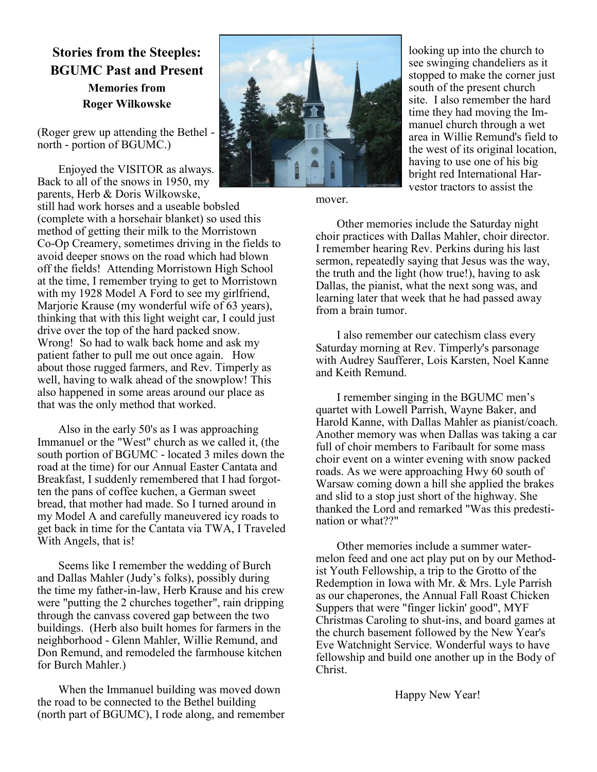#### **Stories from the Steeples: BGUMC Past and Present Memories from Roger Wilkowske**

(Roger grew up attending the Bethel north - portion of BGUMC.)

Enjoyed the VISITOR as always. Back to all of the snows in 1950, my parents, Herb & Doris Wilkowske,

still had work horses and a useable bobsled (complete with a horsehair blanket) so used this method of getting their milk to the Morristown Co-Op Creamery, sometimes driving in the fields to avoid deeper snows on the road which had blown off the fields! Attending Morristown High School at the time, I remember trying to get to Morristown with my 1928 Model A Ford to see my girlfriend, Marjorie Krause (my wonderful wife of 63 years), thinking that with this light weight car, I could just drive over the top of the hard packed snow. Wrong! So had to walk back home and ask my patient father to pull me out once again. How about those rugged farmers, and Rev. Timperly as well, having to walk ahead of the snowplow! This also happened in some areas around our place as that was the only method that worked.

Also in the early 50's as I was approaching Immanuel or the "West" church as we called it, (the south portion of BGUMC - located 3 miles down the road at the time) for our Annual Easter Cantata and Breakfast, I suddenly remembered that I had forgotten the pans of coffee kuchen, a German sweet bread, that mother had made. So I turned around in my Model A and carefully maneuvered icy roads to get back in time for the Cantata via TWA, I Traveled With Angels, that is!

Seems like I remember the wedding of Burch and Dallas Mahler (Judy's folks), possibly during the time my father-in-law, Herb Krause and his crew were "putting the 2 churches together", rain dripping through the canvass covered gap between the two buildings. (Herb also built homes for farmers in the neighborhood - Glenn Mahler, Willie Remund, and Don Remund, and remodeled the farmhouse kitchen for Burch Mahler.)

When the Immanuel building was moved down the road to be connected to the Bethel building (north part of BGUMC), I rode along, and remember



looking up into the church to see swinging chandeliers as it stopped to make the corner just south of the present church site. I also remember the hard time they had moving the Immanuel church through a wet area in Willie Remund's field to the west of its original location, having to use one of his big bright red International Harvestor tractors to assist the

mover.

Other memories include the Saturday night choir practices with Dallas Mahler, choir director. I remember hearing Rev. Perkins during his last sermon, repeatedly saying that Jesus was the way, the truth and the light (how true!), having to ask Dallas, the pianist, what the next song was, and learning later that week that he had passed away from a brain tumor.

I also remember our catechism class every Saturday morning at Rev. Timperly's parsonage with Audrey Saufferer, Lois Karsten, Noel Kanne and Keith Remund.

I remember singing in the BGUMC men's quartet with Lowell Parrish, Wayne Baker, and Harold Kanne, with Dallas Mahler as pianist/coach. Another memory was when Dallas was taking a car full of choir members to Faribault for some mass choir event on a winter evening with snow packed roads. As we were approaching Hwy 60 south of Warsaw coming down a hill she applied the brakes and slid to a stop just short of the highway. She thanked the Lord and remarked "Was this predestination or what??"

Other memories include a summer watermelon feed and one act play put on by our Methodist Youth Fellowship, a trip to the Grotto of the Redemption in Iowa with Mr. & Mrs. Lyle Parrish as our chaperones, the Annual Fall Roast Chicken Suppers that were "finger lickin' good", MYF Christmas Caroling to shut-ins, and board games at the church basement followed by the New Year's Eve Watchnight Service. Wonderful ways to have fellowship and build one another up in the Body of Christ.

Happy New Year!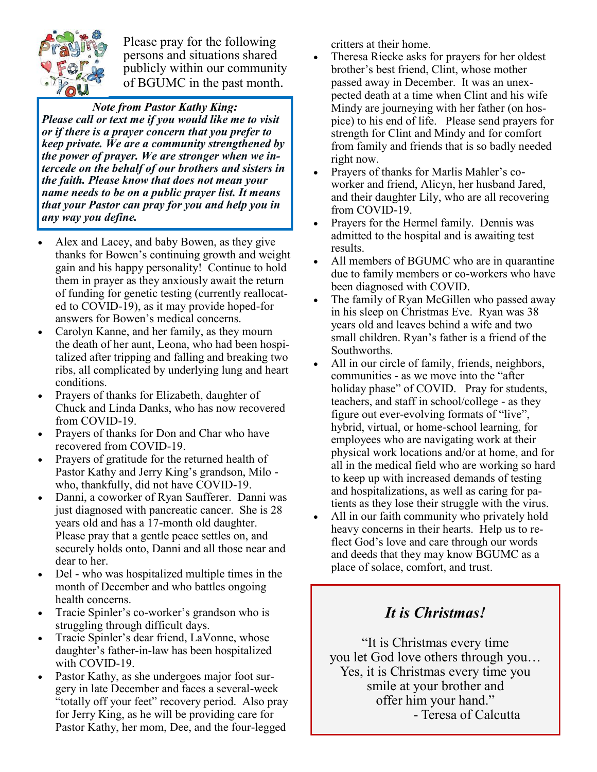

Please pray for the following persons and situations shared publicly within our community of BGUMC in the past month.

*Note from Pastor Kathy King: Please call or text me if you would like me to visit or if there is a prayer concern that you prefer to keep private. We are a community strengthened by the power of prayer. We are stronger when we intercede on the behalf of our brothers and sisters in the faith. Please know that does not mean your name needs to be on a public prayer list. It means that your Pastor can pray for you and help you in any way you define.* 

- Alex and Lacey, and baby Bowen, as they give thanks for Bowen's continuing growth and weight gain and his happy personality! Continue to hold them in prayer as they anxiously await the return of funding for genetic testing (currently reallocated to COVID-19), as it may provide hoped-for answers for Bowen's medical concerns.
- Carolyn Kanne, and her family, as they mourn the death of her aunt, Leona, who had been hospitalized after tripping and falling and breaking two ribs, all complicated by underlying lung and heart conditions.
- Prayers of thanks for Elizabeth, daughter of Chuck and Linda Danks, who has now recovered from COVID-19.
- Prayers of thanks for Don and Char who have recovered from COVID-19.
- Prayers of gratitude for the returned health of Pastor Kathy and Jerry King's grandson, Milo who, thankfully, did not have COVID-19.
- Danni, a coworker of Ryan Saufferer. Danni was just diagnosed with pancreatic cancer. She is 28 years old and has a 17-month old daughter. Please pray that a gentle peace settles on, and securely holds onto, Danni and all those near and dear to her.
- Del who was hospitalized multiple times in the month of December and who battles ongoing health concerns.
- Tracie Spinler's co-worker's grandson who is struggling through difficult days.
- Tracie Spinler's dear friend, LaVonne, whose daughter's father-in-law has been hospitalized with COVID-19.
- Pastor Kathy, as she undergoes major foot surgery in late December and faces a several-week "totally off your feet" recovery period. Also pray for Jerry King, as he will be providing care for Pastor Kathy, her mom, Dee, and the four-legged

critters at their home.

- Theresa Riecke asks for prayers for her oldest brother's best friend, Clint, whose mother passed away in December. It was an unexpected death at a time when Clint and his wife Mindy are journeying with her father (on hospice) to his end of life. Please send prayers for strength for Clint and Mindy and for comfort from family and friends that is so badly needed right now.
- Prayers of thanks for Marlis Mahler's coworker and friend, Alicyn, her husband Jared, and their daughter Lily, who are all recovering from COVID-19.
- Prayers for the Hermel family. Dennis was admitted to the hospital and is awaiting test results.
- All members of BGUMC who are in quarantine due to family members or co-workers who have been diagnosed with COVID.
- The family of Ryan McGillen who passed away in his sleep on Christmas Eve. Ryan was 38 years old and leaves behind a wife and two small children. Ryan's father is a friend of the Southworths.
- All in our circle of family, friends, neighbors, communities - as we move into the "after holiday phase" of COVID. Pray for students, teachers, and staff in school/college - as they figure out ever-evolving formats of "live", hybrid, virtual, or home-school learning, for employees who are navigating work at their physical work locations and/or at home, and for all in the medical field who are working so hard to keep up with increased demands of testing and hospitalizations, as well as caring for patients as they lose their struggle with the virus.
- All in our faith community who privately hold heavy concerns in their hearts. Help us to reflect God's love and care through our words and deeds that they may know BGUMC as a place of solace, comfort, and trust.

## *It is Christmas!*

"It is Christmas every time you let God love others through you… Yes, it is Christmas every time you smile at your brother and offer him your hand." - Teresa of Calcutta